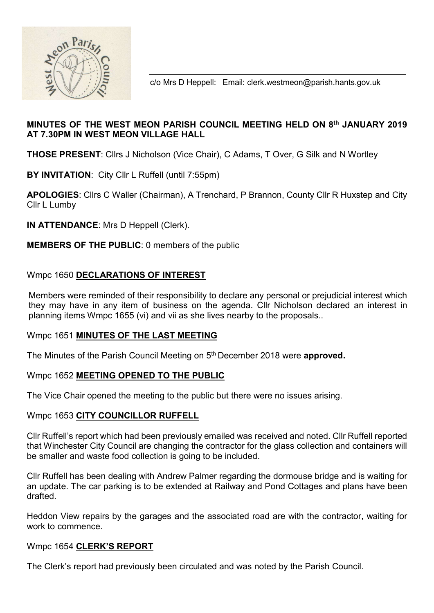

c/o Mrs D Heppell: Email: clerk.westmeon@parish.hants.gov.uk

# MINUTES OF THE WEST MEON PARISH COUNCIL MEETING HELD ON 8th JANUARY 2019 AT 7.30PM IN WEST MEON VILLAGE HALL

THOSE PRESENT: Cllrs J Nicholson (Vice Chair), C Adams, T Over, G Silk and N Wortley

BY INVITATION: City Cllr L Ruffell (until 7:55pm)

APOLOGIES: Cllrs C Waller (Chairman), A Trenchard, P Brannon, County Cllr R Huxstep and City Cllr L Lumby

IN ATTENDANCE: Mrs D Heppell (Clerk).

MEMBERS OF THE PUBLIC: 0 members of the public

### Wmpc 1650 DECLARATIONS OF INTEREST

 Members were reminded of their responsibility to declare any personal or prejudicial interest which they may have in any item of business on the agenda. Cllr Nicholson declared an interest in planning items Wmpc 1655 (vi) and vii as she lives nearby to the proposals..

### Wmpc 1651 MINUTES OF THE LAST MEETING

The Minutes of the Parish Council Meeting on 5<sup>th</sup> December 2018 were **approved.** 

### Wmpc 1652 MEETING OPENED TO THE PUBLIC

The Vice Chair opened the meeting to the public but there were no issues arising.

### Wmpc 1653 CITY COUNCILLOR RUFFELL

Cllr Ruffell's report which had been previously emailed was received and noted. Cllr Ruffell reported that Winchester City Council are changing the contractor for the glass collection and containers will be smaller and waste food collection is going to be included.

Cllr Ruffell has been dealing with Andrew Palmer regarding the dormouse bridge and is waiting for an update. The car parking is to be extended at Railway and Pond Cottages and plans have been drafted.

Heddon View repairs by the garages and the associated road are with the contractor, waiting for work to commence.

### Wmpc 1654 CLERK'S REPORT

The Clerk's report had previously been circulated and was noted by the Parish Council.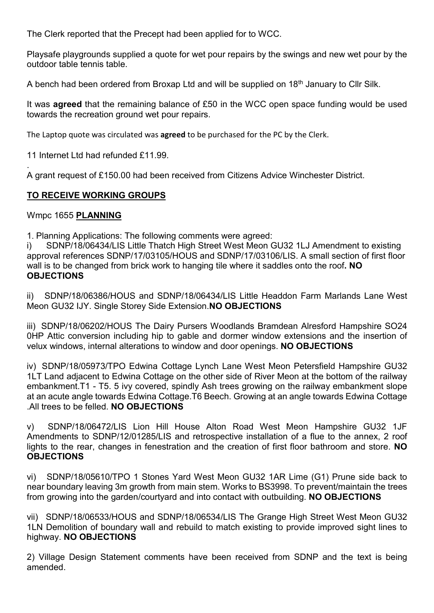The Clerk reported that the Precept had been applied for to WCC.

Playsafe playgrounds supplied a quote for wet pour repairs by the swings and new wet pour by the outdoor table tennis table.

A bench had been ordered from Broxap Ltd and will be supplied on 18<sup>th</sup> January to Cllr Silk.

It was **agreed** that the remaining balance of £50 in the WCC open space funding would be used towards the recreation ground wet pour repairs.

The Laptop quote was circulated was **agreed** to be purchased for the PC by the Clerk.

11 Internet Ltd had refunded £11.99.

. A grant request of £150.00 had been received from Citizens Advice Winchester District.

# TO RECEIVE WORKING GROUPS

Wmpc 1655 PLANNING

1. Planning Applications: The following comments were agreed:

i) SDNP/18/06434/LIS Little Thatch High Street West Meon GU32 1LJ Amendment to existing approval references SDNP/17/03105/HOUS and SDNP/17/03106/LIS. A small section of first floor wall is to be changed from brick work to hanging tile where it saddles onto the roof. NO **OBJECTIONS** 

ii) SDNP/18/06386/HOUS and SDNP/18/06434/LIS Little Headdon Farm Marlands Lane West Meon GU32 IJY. Single Storey Side Extension.NO OBJECTIONS

iii) SDNP/18/06202/HOUS The Dairy Pursers Woodlands Bramdean Alresford Hampshire SO24 0HP Attic conversion including hip to gable and dormer window extensions and the insertion of velux windows, internal alterations to window and door openings. NO OBJECTIONS

iv) SDNP/18/05973/TPO Edwina Cottage Lynch Lane West Meon Petersfield Hampshire GU32 1LT Land adjacent to Edwina Cottage on the other side of River Meon at the bottom of the railway embankment.T1 - T5. 5 ivy covered, spindly Ash trees growing on the railway embankment slope at an acute angle towards Edwina Cottage.T6 Beech. Growing at an angle towards Edwina Cottage .All trees to be felled. NO OBJECTIONS

v) SDNP/18/06472/LIS Lion Hill House Alton Road West Meon Hampshire GU32 1JF Amendments to SDNP/12/01285/LIS and retrospective installation of a flue to the annex, 2 roof lights to the rear, changes in fenestration and the creation of first floor bathroom and store. NO **OBJECTIONS** 

vi) SDNP/18/05610/TPO 1 Stones Yard West Meon GU32 1AR Lime (G1) Prune side back to near boundary leaving 3m growth from main stem. Works to BS3998. To prevent/maintain the trees from growing into the garden/courtyard and into contact with outbuilding. NO OBJECTIONS

vii) SDNP/18/06533/HOUS and SDNP/18/06534/LIS The Grange High Street West Meon GU32 1LN Demolition of boundary wall and rebuild to match existing to provide improved sight lines to highway. NO OBJECTIONS

2) Village Design Statement comments have been received from SDNP and the text is being amended.